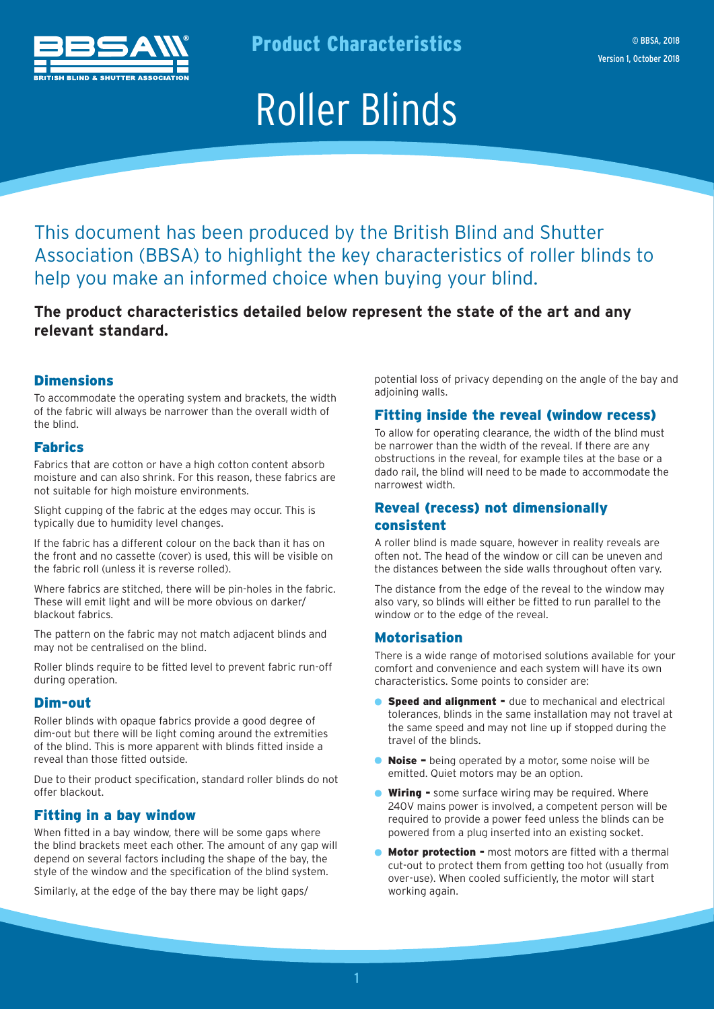

Product Characteristics

# Roller Blinds

This document has been produced by the British Blind and Shutter Association (BBSA) to highlight the key characteristics of roller blinds to help you make an informed choice when buying your blind.

**The product characteristics detailed below represent the state of the art and any relevant standard.** 

## **Dimensions**

To accommodate the operating system and brackets, the width of the fabric will always be narrower than the overall width of the blind.

#### Fabrics

Fabrics that are cotton or have a high cotton content absorb moisture and can also shrink. For this reason, these fabrics are not suitable for high moisture environments.

Slight cupping of the fabric at the edges may occur. This is typically due to humidity level changes.

If the fabric has a different colour on the back than it has on the front and no cassette (cover) is used, this will be visible on the fabric roll (unless it is reverse rolled).

Where fabrics are stitched, there will be pin-holes in the fabric. These will emit light and will be more obvious on darker/ blackout fabrics.

The pattern on the fabric may not match adjacent blinds and may not be centralised on the blind.

Roller blinds require to be fitted level to prevent fabric run-off during operation.

#### Dim-out

Roller blinds with opaque fabrics provide a good degree of dim-out but there will be light coming around the extremities of the blind. This is more apparent with blinds fitted inside a reveal than those fitted outside.

Due to their product specification, standard roller blinds do not offer blackout.

#### Fitting in a bay window

When fitted in a bay window, there will be some gaps where the blind brackets meet each other. The amount of any gap will depend on several factors including the shape of the bay, the style of the window and the specification of the blind system.

Similarly, at the edge of the bay there may be light gaps/

potential loss of privacy depending on the angle of the bay and adjoining walls.

### Fitting inside the reveal (window recess)

To allow for operating clearance, the width of the blind must be narrower than the width of the reveal. If there are any obstructions in the reveal, for example tiles at the base or a dado rail, the blind will need to be made to accommodate the narrowest width.

## Reveal (recess) not dimensionally consistent

A roller blind is made square, however in reality reveals are often not. The head of the window or cill can be uneven and the distances between the side walls throughout often vary.

The distance from the edge of the reveal to the window may also vary, so blinds will either be fitted to run parallel to the window or to the edge of the reveal.

#### Motorisation

There is a wide range of motorised solutions available for your comfort and convenience and each system will have its own characteristics. Some points to consider are:

- **Speed and alignment -** due to mechanical and electrical tolerances, blinds in the same installation may not travel at the same speed and may not line up if stopped during the travel of the blinds.
- Noise being operated by a motor, some noise will be emitted. Quiet motors may be an option.
- **Wiring -** some surface wiring may be required. Where 240V mains power is involved, a competent person will be required to provide a power feed unless the blinds can be powered from a plug inserted into an existing socket.
- **Motor protection -** most motors are fitted with a thermal cut-out to protect them from getting too hot (usually from over-use). When cooled sufficiently, the motor will start working again.